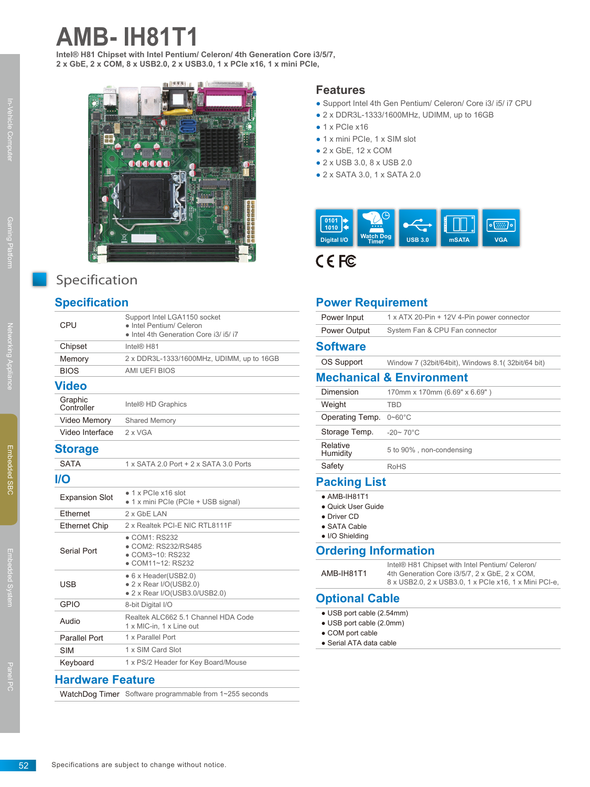# **AMB- IH81T1**

**Intel® H81 Chipset with Intel Pentium/ Celeron/ 4th Generation Core i3/5/7, 2 x GbE, 2 x COM, 8 x USB2.0, 2 x USB3.0, 1 x PCIe x16, 1 x mini PCIe,**



## Specification

### **Specification**

| -----                   |                                                                                                    |  |
|-------------------------|----------------------------------------------------------------------------------------------------|--|
| CPU                     | Support Intel LGA1150 socket<br>• Intel Pentium/ Celeron<br>· Intel 4th Generation Core i3/ i5/ i7 |  |
| Chipset                 | Intel® H81                                                                                         |  |
| Memory                  | 2 x DDR3L-1333/1600MHz, UDIMM, up to 16GB                                                          |  |
| <b>BIOS</b>             | <b>AMI UEFI BIOS</b>                                                                               |  |
| <b>Video</b>            |                                                                                                    |  |
| Graphic<br>Controller   | Intel® HD Graphics                                                                                 |  |
| Video Memory            | Shared Memory                                                                                      |  |
| Video Interface         | 2 x VGA                                                                                            |  |
| <b>Storage</b>          |                                                                                                    |  |
| <b>SATA</b>             | 1 x SATA 2.0 Port + 2 x SATA 3.0 Ports                                                             |  |
| <b>I/O</b>              |                                                                                                    |  |
| <b>Expansion Slot</b>   | • 1 x PCIe x16 slot<br>• 1 x mini PCIe (PCIe + USB signal)                                         |  |
| Ethernet                | 2 x GbE LAN                                                                                        |  |
| <b>Ethernet Chip</b>    | 2 x Realtek PCI-E NIC RTL8111F                                                                     |  |
| Serial Port             | • COM1: RS232<br>• COM2: RS232/RS485<br>• COM3~10: RS232<br>• COM11~12: RS232                      |  |
| <b>USB</b>              | • 6 x Header(USB2.0)<br>• 2 x Rear I/O(USB2.0)<br>• 2 x Rear I/O(USB3.0/USB2.0)                    |  |
| <b>GPIO</b>             | 8-bit Digital I/O                                                                                  |  |
| Audio                   | Realtek ALC662 5.1 Channel HDA Code<br>1 x MIC-in, 1 x Line out                                    |  |
| <b>Parallel Port</b>    | 1 x Parallel Port                                                                                  |  |
| <b>SIM</b>              | 1 x SIM Card Slot                                                                                  |  |
| Keyboard                | 1 x PS/2 Header for Key Board/Mouse                                                                |  |
| <b>Hardware Feature</b> |                                                                                                    |  |

WatchDog Timer Software programmable from 1~255 seconds

#### **Features**

- Support Intel 4th Gen Pentium/ Celeron/ Core i3/ i5/ i7 CPU
- 2 x DDR3L-1333/1600MHz, UDIMM, up to 16GB
- $\bullet$  1 x PCIe x16
- 1 x mini PCIe, 1 x SIM slot
- $\bullet$  2 x GbE, 12 x COM
- 2 x USB 3.0, 8 x USB 2.0
- 2 x SATA 3.0, 1 x SATA 2.0



#### **Power Requirement**

| Power Input          | 1 x ATX 20-Pin + 12V 4-Pin power connector         |
|----------------------|----------------------------------------------------|
| Power Output         | System Fan & CPU Fan connector                     |
| <b>Software</b>      |                                                    |
| OS Support           | Window 7 (32bit/64bit), Windows 8.1 (32bit/64 bit) |
|                      | <b>Mechanical &amp; Environment</b>                |
| Dimension            | 170mm x 170mm (6.69" x 6.69")                      |
| Weight               | TBD                                                |
| Operating Temp.      | $0 - 60^{\circ}$ C                                 |
| Storage Temp.        | $-20 - 70^{\circ}$ C                               |
| Relative<br>Humidity | 5 to 90%, non-condensing                           |
| Safety               | <b>RoHS</b>                                        |
| <b>Packing List</b>  |                                                    |

## **Packing List**

- $\bullet$  AMB-IH81T1 ● Quick User Guide • Driver CD
- SATA Cable
- I/O Shielding

#### **Ordering Information**

| AMB-IH81T1 | Intel® H81 Chipset with Intel Pentium/ Celeron/<br>4th Generation Core i3/5/7, 2 x GbE, 2 x COM,<br>8 x USB2.0, 2 x USB3.0, 1 x PCIe x16, 1 x Mini PCI-e, |
|------------|-----------------------------------------------------------------------------------------------------------------------------------------------------------|
|            |                                                                                                                                                           |

#### **Optional Cable**

- USB port cable (2.54mm)
- USB port cable (2.0mm)
- COM port cable
- Serial ATA data cable

Embedded System